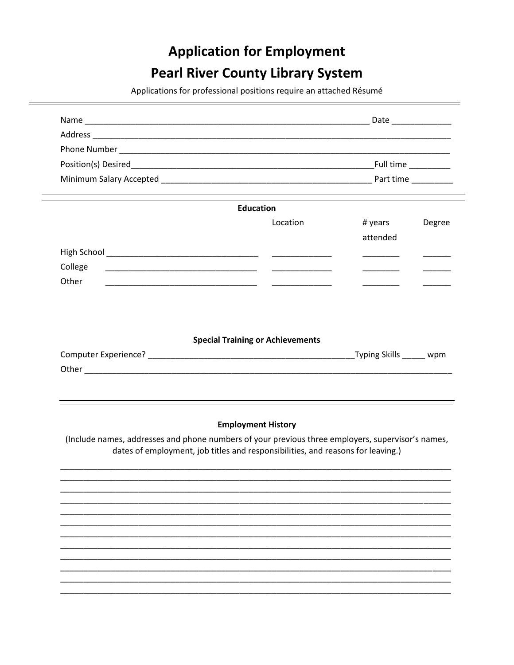# **Application for Employment**

# **Pearl River County Library System**

Applications for professional positions require an attached Résumé

| Location                                | # years  | Degree                                                                                |
|-----------------------------------------|----------|---------------------------------------------------------------------------------------|
|                                         | attended |                                                                                       |
|                                         |          |                                                                                       |
|                                         |          |                                                                                       |
|                                         |          |                                                                                       |
|                                         |          |                                                                                       |
|                                         |          |                                                                                       |
| <b>Special Training or Achievements</b> |          |                                                                                       |
|                                         |          |                                                                                       |
|                                         |          |                                                                                       |
|                                         |          |                                                                                       |
|                                         |          | <u> 2000 - Andrea Andrew American American (h. 1982).</u><br>Typing Skills ______ wpm |

(Include names, addresses and phone numbers of your previous three employers, supervisor's names, dates of employment, job titles and responsibilities, and reasons for leaving.)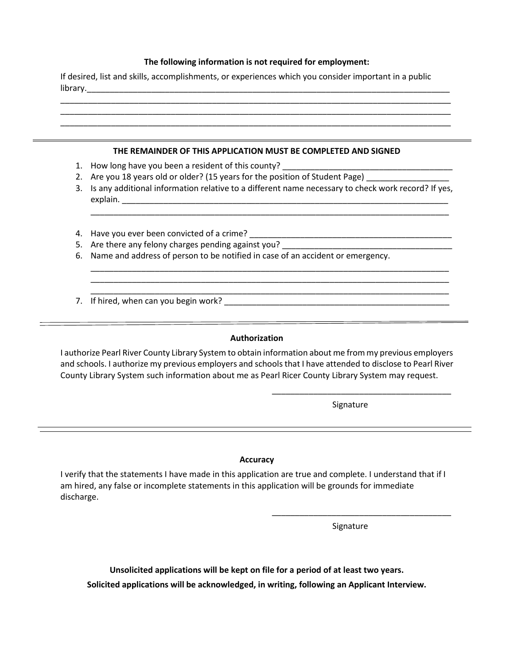### **The following information is not required for employment:**

\_\_\_\_\_\_\_\_\_\_\_\_\_\_\_\_\_\_\_\_\_\_\_\_\_\_\_\_\_\_\_\_\_\_\_\_\_\_\_\_\_\_\_\_\_\_\_\_\_\_\_\_\_\_\_\_\_\_\_\_\_\_\_\_\_\_\_\_\_\_\_\_\_\_\_\_\_\_\_\_\_\_\_\_\_

If desired, list and skills, accomplishments, or experiences which you consider important in a public library.\_\_\_\_\_\_\_\_\_\_\_\_\_\_\_\_\_\_\_\_\_\_\_\_\_\_\_\_\_\_\_\_\_\_\_\_\_\_\_\_\_\_\_\_\_\_\_\_\_\_\_\_\_\_\_\_\_\_\_\_\_\_\_\_\_\_\_\_\_\_\_\_\_\_\_\_\_\_\_

| THE REMAINDER OF THIS APPLICATION MUST BE COMPLETED AND SIGNED                                        |
|-------------------------------------------------------------------------------------------------------|
| 1. How long have you been a resident of this county?                                                  |
| 2. Are you 18 years old or older? (15 years for the position of Student Page)                         |
| 3. Is any additional information relative to a different name necessary to check work record? If yes, |
|                                                                                                       |
|                                                                                                       |
| 6. Name and address of person to be notified in case of an accident or emergency.                     |
|                                                                                                       |
|                                                                                                       |
| 7. If hired, when can you begin work?                                                                 |

### **Authorization**

I authorize Pearl River County Library System to obtain information about me from my previous employers and schools. I authorize my previous employers and schools that I have attended to disclose to Pearl River County Library System such information about me as Pearl Ricer County Library System may request.

Signature

\_\_\_\_\_\_\_\_\_\_\_\_\_\_\_\_\_\_\_\_\_\_\_\_\_\_\_\_\_\_\_\_\_\_\_\_\_\_\_

### **Accuracy**

I verify that the statements I have made in this application are true and complete. I understand that if I am hired, any false or incomplete statements in this application will be grounds for immediate discharge.

Signature

\_\_\_\_\_\_\_\_\_\_\_\_\_\_\_\_\_\_\_\_\_\_\_\_\_\_\_\_\_\_\_\_\_\_\_\_\_\_\_

**Unsolicited applications will be kept on file for a period of at least two years. Solicited applications will be acknowledged, in writing, following an Applicant Interview.**